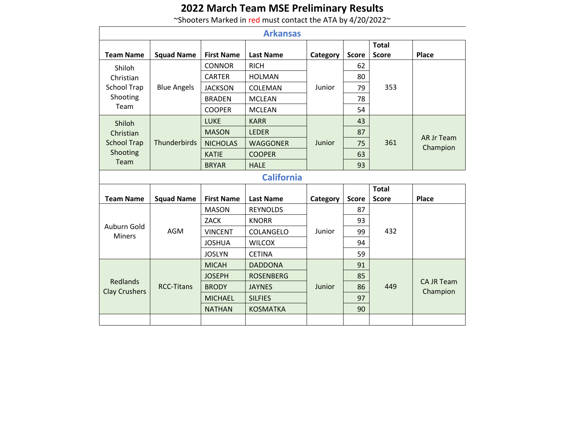## **2022 March Team MSE Preliminary Results**

~Shooters Marked in red must contact the ATA by 4/20/2022~

| <b>Arkansas</b>      |                    |                   |                   |          |              |              |                               |  |
|----------------------|--------------------|-------------------|-------------------|----------|--------------|--------------|-------------------------------|--|
|                      |                    |                   |                   |          |              | <b>Total</b> |                               |  |
| <b>Team Name</b>     | <b>Squad Name</b>  | <b>First Name</b> | <b>Last Name</b>  | Category | <b>Score</b> | <b>Score</b> | Place                         |  |
| Shiloh               |                    | <b>CONNOR</b>     | <b>RICH</b>       |          | 62           |              |                               |  |
| Christian            |                    | <b>CARTER</b>     | <b>HOLMAN</b>     |          | 80           |              |                               |  |
| <b>School Trap</b>   | <b>Blue Angels</b> | <b>JACKSON</b>    | <b>COLEMAN</b>    | Junior   | 79           | 353          |                               |  |
| Shooting             |                    | <b>BRADEN</b>     | <b>MCLEAN</b>     |          | 78           |              |                               |  |
| Team                 |                    | <b>COOPER</b>     | <b>MCLEAN</b>     |          | 54           |              |                               |  |
| Shiloh               |                    | <b>LUKE</b>       | <b>KARR</b>       |          | 43           |              |                               |  |
| Christian            |                    | <b>MASON</b>      | <b>LEDER</b>      |          | 87           | 361          | <b>AR Jr Team</b><br>Champion |  |
| <b>School Trap</b>   | Thunderbirds       | <b>NICHOLAS</b>   | <b>WAGGONER</b>   | Junior   | 75           |              |                               |  |
| Shooting             |                    | <b>KATIE</b>      | <b>COOPER</b>     |          | 63           |              |                               |  |
| Team                 |                    | <b>BRYAR</b>      | <b>HALE</b>       |          | 93           |              |                               |  |
|                      |                    |                   | <b>California</b> |          |              |              |                               |  |
|                      |                    |                   |                   |          |              | <b>Total</b> |                               |  |
| <b>Team Name</b>     | <b>Squad Name</b>  | <b>First Name</b> | <b>Last Name</b>  | Category | <b>Score</b> | <b>Score</b> |                               |  |
|                      |                    |                   |                   |          |              |              | <b>Place</b>                  |  |
|                      |                    | <b>MASON</b>      | <b>REYNOLDS</b>   |          | 87           |              |                               |  |
|                      |                    | <b>ZACK</b>       | <b>KNORR</b>      |          | 93           |              |                               |  |
| Auburn Gold          | <b>AGM</b>         | <b>VINCENT</b>    | COLANGELO         | Junior   | 99           | 432          |                               |  |
| <b>Miners</b>        |                    | <b>JOSHUA</b>     | <b>WILCOX</b>     |          | 94           |              |                               |  |
|                      |                    | <b>JOSLYN</b>     | <b>CETINA</b>     |          | 59           |              |                               |  |
|                      |                    | <b>MICAH</b>      | <b>DADDONA</b>    |          | 91           |              |                               |  |
|                      |                    | <b>JOSEPH</b>     | <b>ROSENBERG</b>  |          | 85           |              |                               |  |
| <b>Redlands</b>      | <b>RCC-Titans</b>  | <b>BRODY</b>      | <b>JAYNES</b>     | Junior   | 86           | 449          | <b>CA JR Team</b>             |  |
| <b>Clay Crushers</b> |                    | <b>MICHAEL</b>    | <b>SILFIES</b>    |          | 97           |              | Champion                      |  |
|                      |                    | <b>NATHAN</b>     | <b>KOSMATKA</b>   |          | 90           |              |                               |  |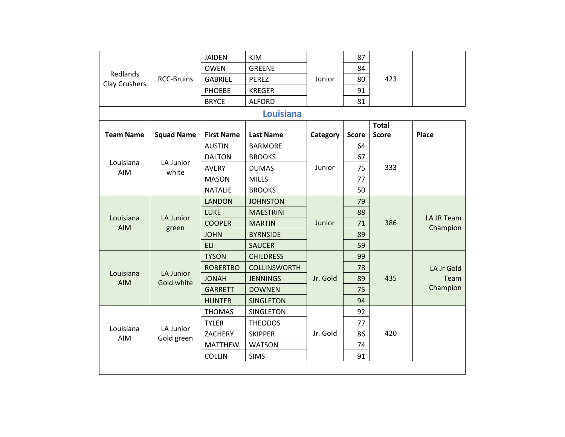|                           |                         | <b>JAIDEN</b>     | <b>KIM</b>          |          | 87           |              |            |
|---------------------------|-------------------------|-------------------|---------------------|----------|--------------|--------------|------------|
|                           |                         | <b>OWEN</b>       | <b>GREENE</b>       |          | 84           |              |            |
| Redlands<br>Clay Crushers | <b>RCC-Bruins</b>       | <b>GABRIEL</b>    | <b>PEREZ</b>        | Junior   | 80           | 423          |            |
|                           |                         | <b>PHOEBE</b>     | <b>KREGER</b>       |          | 91           |              |            |
|                           |                         | <b>BRYCE</b>      | <b>ALFORD</b>       |          | 81           |              |            |
|                           |                         |                   |                     |          |              |              |            |
|                           |                         |                   |                     |          |              | <b>Total</b> |            |
| <b>Team Name</b>          | <b>Squad Name</b>       | <b>First Name</b> | <b>Last Name</b>    | Category | <b>Score</b> | <b>Score</b> | Place      |
|                           |                         | <b>AUSTIN</b>     | <b>BARMORE</b>      |          | 64           |              |            |
| Louisiana                 | LA Junior               | <b>DALTON</b>     | <b>BROOKS</b>       |          | 67           | 333          |            |
| AIM                       | white                   | <b>AVERY</b>      | <b>DUMAS</b>        | Junior   | 75           |              |            |
|                           |                         | <b>MASON</b>      | <b>MILLS</b>        |          | 77           |              |            |
|                           |                         | <b>NATALIE</b>    | <b>BROOKS</b>       |          | 50           |              |            |
|                           |                         | <b>LANDON</b>     | <b>JOHNSTON</b>     |          | 79           |              |            |
| Louisiana                 |                         | <b>LUKE</b>       | <b>MAESTRINI</b>    |          | 88           |              | LA JR Team |
| <b>AIM</b>                | LA Junior<br>green      | <b>COOPER</b>     | <b>MARTIN</b>       | Junior   | 71           | 386          | Champion   |
|                           |                         | <b>JOHN</b>       | <b>BYRNSIDE</b>     |          | 89           |              |            |
|                           |                         | <b>ELI</b>        | <b>SAUCER</b>       |          | 59           |              |            |
|                           |                         | <b>TYSON</b>      | <b>CHILDRESS</b>    |          | 99           |              |            |
|                           |                         | <b>ROBERTBO</b>   | <b>COLLINSWORTH</b> |          | 78           |              | LA Jr Gold |
| Louisiana<br><b>AIM</b>   | LA Junior<br>Gold white | <b>JONAH</b>      | <b>JENNINGS</b>     | Jr. Gold | 89           | 435          | Team       |
|                           |                         | <b>GARRETT</b>    | <b>DOWNEN</b>       |          | 75           |              | Champion   |
|                           |                         | <b>HUNTER</b>     | <b>SINGLETON</b>    |          | 94           |              |            |
|                           |                         | <b>THOMAS</b>     | <b>SINGLETON</b>    |          | 92           |              |            |
|                           |                         | <b>TYLER</b>      | <b>THEODOS</b>      |          | 77           |              |            |
| Louisiana<br><b>AIM</b>   | LA Junior<br>Gold green | <b>ZACHERY</b>    | <b>SKIPPER</b>      | Jr. Gold | 86           | 420          |            |
|                           |                         | <b>MATTHEW</b>    | <b>WATSON</b>       |          | 74           |              |            |
|                           |                         | <b>COLLIN</b>     | <b>SIMS</b>         |          | 91           |              |            |
|                           |                         |                   |                     |          |              |              |            |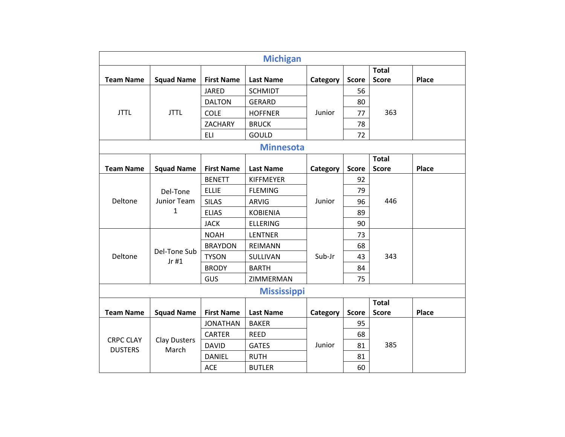| <b>Michigan</b>  |                                         |                   |                    |          |              |              |              |  |
|------------------|-----------------------------------------|-------------------|--------------------|----------|--------------|--------------|--------------|--|
|                  |                                         |                   |                    |          |              | <b>Total</b> |              |  |
| <b>Team Name</b> | <b>Squad Name</b>                       | <b>First Name</b> | <b>Last Name</b>   | Category | <b>Score</b> | <b>Score</b> | <b>Place</b> |  |
|                  |                                         | <b>JARED</b>      | <b>SCHMIDT</b>     |          | 56           |              |              |  |
|                  |                                         | <b>DALTON</b>     | <b>GERARD</b>      |          | 80           |              |              |  |
| <b>JTTL</b>      | <b>JTTL</b>                             | COLE              | <b>HOFFNER</b>     | Junior   | 77           | 363          |              |  |
|                  |                                         | ZACHARY           | <b>BRUCK</b>       |          | 78           |              |              |  |
|                  |                                         | <b>ELI</b>        | GOULD              |          | 72           |              |              |  |
|                  |                                         |                   | <b>Minnesota</b>   |          |              |              |              |  |
|                  |                                         |                   |                    |          |              | <b>Total</b> |              |  |
| <b>Team Name</b> | <b>Squad Name</b>                       | <b>First Name</b> | <b>Last Name</b>   | Category | <b>Score</b> | <b>Score</b> | Place        |  |
|                  | Del-Tone<br>Junior Team<br>$\mathbf{1}$ | <b>BENETT</b>     | <b>KIFFMEYER</b>   | Junior   | 92           |              |              |  |
|                  |                                         | <b>ELLIE</b>      | <b>FLEMING</b>     |          | 79           |              |              |  |
| Deltone          |                                         | <b>SILAS</b>      | <b>ARVIG</b>       |          | 96           | 446          |              |  |
|                  |                                         | <b>ELIAS</b>      | <b>KOBIENIA</b>    |          | 89           |              |              |  |
|                  |                                         | <b>JACK</b>       | <b>ELLERING</b>    |          | 90           |              |              |  |
|                  | Del-Tone Sub<br>$Jr$ #1                 | <b>NOAH</b>       | <b>LENTNER</b>     |          | 73           |              |              |  |
|                  |                                         | <b>BRAYDON</b>    | <b>REIMANN</b>     |          | 68           |              |              |  |
| Deltone          |                                         | <b>TYSON</b>      | SULLIVAN           | Sub-Jr   | 43           | 343          |              |  |
|                  |                                         | <b>BRODY</b>      | <b>BARTH</b>       |          | 84           |              |              |  |
|                  |                                         | GUS               | ZIMMERMAN          |          | 75           |              |              |  |
|                  |                                         |                   | <b>Mississippi</b> |          |              |              |              |  |
|                  |                                         |                   |                    |          |              | <b>Total</b> |              |  |
| <b>Team Name</b> | <b>Squad Name</b>                       | <b>First Name</b> | <b>Last Name</b>   | Category | <b>Score</b> | <b>Score</b> | Place        |  |
|                  |                                         | <b>JONATHAN</b>   | <b>BAKER</b>       |          | 95           |              |              |  |
| <b>CRPC CLAY</b> | <b>Clay Dusters</b>                     | <b>CARTER</b>     | <b>REED</b>        |          | 68           |              |              |  |
| <b>DUSTERS</b>   | March                                   | <b>DAVID</b>      | <b>GATES</b>       | Junior   | 81           | 385          |              |  |
|                  |                                         | <b>DANIEL</b>     | <b>RUTH</b>        |          | 81           |              |              |  |
|                  |                                         | <b>ACE</b>        | <b>BUTLER</b>      |          | 60           |              |              |  |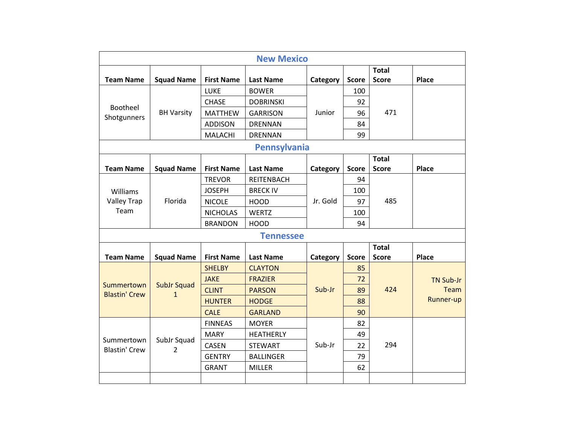|                      | <b>New Mexico</b>  |                   |                   |          |              |              |                  |  |  |
|----------------------|--------------------|-------------------|-------------------|----------|--------------|--------------|------------------|--|--|
|                      |                    |                   |                   |          |              | <b>Total</b> |                  |  |  |
| <b>Team Name</b>     | <b>Squad Name</b>  | <b>First Name</b> | <b>Last Name</b>  | Category | <b>Score</b> | <b>Score</b> | Place            |  |  |
|                      |                    | LUKE              | <b>BOWER</b>      |          | 100          |              |                  |  |  |
| Bootheel             |                    | <b>CHASE</b>      | <b>DOBRINSKI</b>  |          | 92           |              |                  |  |  |
| Shotgunners          | <b>BH Varsity</b>  | <b>MATTHEW</b>    | <b>GARRISON</b>   | Junior   | 96           | 471          |                  |  |  |
|                      |                    | <b>ADDISON</b>    | <b>DRENNAN</b>    |          | 84           |              |                  |  |  |
|                      |                    | <b>MALACHI</b>    | <b>DRENNAN</b>    |          | 99           |              |                  |  |  |
|                      |                    |                   | Pennsylvania      |          |              |              |                  |  |  |
|                      |                    |                   |                   |          |              | <b>Total</b> |                  |  |  |
| <b>Team Name</b>     | <b>Squad Name</b>  | <b>First Name</b> | <b>Last Name</b>  | Category | <b>Score</b> | <b>Score</b> | <b>Place</b>     |  |  |
|                      |                    | <b>TREVOR</b>     | <b>REITENBACH</b> | Jr. Gold | 94           | 485          |                  |  |  |
| Williams             |                    | <b>JOSEPH</b>     | <b>BRECK IV</b>   |          | 100          |              |                  |  |  |
| <b>Valley Trap</b>   | Florida            | <b>NICOLE</b>     | <b>HOOD</b>       |          | 97           |              |                  |  |  |
| Team                 |                    | <b>NICHOLAS</b>   | <b>WERTZ</b>      |          | 100          |              |                  |  |  |
|                      |                    | <b>BRANDON</b>    | <b>HOOD</b>       |          | 94           |              |                  |  |  |
|                      |                    |                   | <b>Tennessee</b>  |          |              |              |                  |  |  |
|                      |                    |                   |                   |          |              | <b>Total</b> |                  |  |  |
| <b>Team Name</b>     | <b>Squad Name</b>  | <b>First Name</b> | <b>Last Name</b>  | Category | <b>Score</b> | <b>Score</b> | Place            |  |  |
|                      | <b>SubJr Squad</b> | <b>SHELBY</b>     | <b>CLAYTON</b>    |          | 85           | 424          |                  |  |  |
| Summertown           |                    | <b>JAKE</b>       | <b>FRAZIER</b>    |          | 72           |              | <b>TN Sub-Jr</b> |  |  |
| <b>Blastin' Crew</b> | $\mathbf{1}$       | <b>CLINT</b>      | <b>PARSON</b>     | Sub-Jr   | 89           |              | Team             |  |  |
|                      |                    | <b>HUNTER</b>     | <b>HODGE</b>      |          | 88           |              | Runner-up        |  |  |
|                      |                    | <b>CALE</b>       | <b>GARLAND</b>    |          | 90           |              |                  |  |  |
|                      |                    | <b>FINNEAS</b>    | <b>MOYER</b>      |          | 82           |              |                  |  |  |
| Summertown           |                    | <b>MARY</b>       | <b>HEATHERLY</b>  |          | 49           |              |                  |  |  |
| <b>Blastin' Crew</b> | SubJr Squad<br>2   | <b>CASEN</b>      | <b>STEWART</b>    | Sub-Jr   | 22           | 294          |                  |  |  |
|                      |                    | <b>GENTRY</b>     | <b>BALLINGER</b>  |          | 79           |              |                  |  |  |
|                      |                    | <b>GRANT</b>      | <b>MILLER</b>     |          | 62           |              |                  |  |  |
|                      |                    |                   |                   |          |              |              |                  |  |  |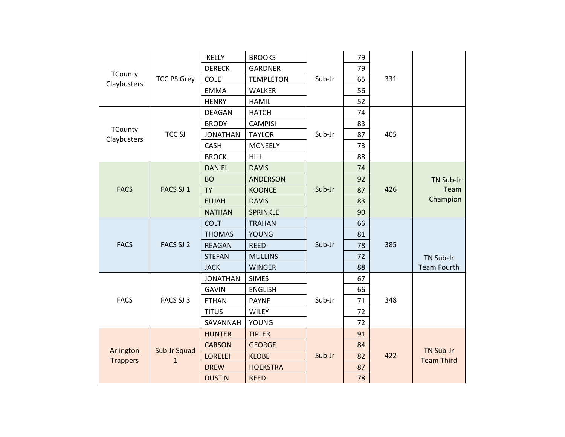|                              |                              | <b>KELLY</b>    | <b>BROOKS</b>    |        | 79 |     |                    |
|------------------------------|------------------------------|-----------------|------------------|--------|----|-----|--------------------|
|                              |                              | <b>DERECK</b>   | <b>GARDNER</b>   |        | 79 |     |                    |
| TCounty<br>Claybusters       | <b>TCC PS Grey</b>           | <b>COLE</b>     | <b>TEMPLETON</b> | Sub-Jr | 65 | 331 |                    |
|                              |                              | <b>EMMA</b>     | <b>WALKER</b>    |        | 56 |     |                    |
|                              |                              | <b>HENRY</b>    | <b>HAMIL</b>     |        | 52 |     |                    |
|                              |                              | DEAGAN          | <b>HATCH</b>     |        | 74 |     |                    |
|                              |                              | <b>BRODY</b>    | <b>CAMPISI</b>   |        | 83 |     |                    |
| TCounty<br>Claybusters       | <b>TCC SJ</b>                | <b>JONATHAN</b> | <b>TAYLOR</b>    | Sub-Jr | 87 | 405 |                    |
|                              |                              | <b>CASH</b>     | <b>MCNEELY</b>   |        | 73 |     |                    |
|                              |                              | <b>BROCK</b>    | <b>HILL</b>      |        | 88 |     |                    |
|                              |                              | <b>DANIEL</b>   | <b>DAVIS</b>     |        | 74 |     |                    |
|                              |                              | <b>BO</b>       | <b>ANDERSON</b>  |        | 92 |     | TN Sub-Jr          |
| <b>FACS</b>                  | FACS SJ 1                    | <b>TY</b>       | <b>KOONCE</b>    | Sub-Jr | 87 | 426 | Team               |
|                              |                              | <b>ELIJAH</b>   | <b>DAVIS</b>     |        | 83 |     | Champion           |
|                              |                              | <b>NATHAN</b>   | <b>SPRINKLE</b>  |        | 90 |     |                    |
|                              | FACS SJ 2                    | <b>COLT</b>     | <b>TRAHAN</b>    | Sub-Jr | 66 |     |                    |
|                              |                              | <b>THOMAS</b>   | <b>YOUNG</b>     |        | 81 |     |                    |
| <b>FACS</b>                  |                              | <b>REAGAN</b>   | <b>REED</b>      |        | 78 | 385 |                    |
|                              |                              | <b>STEFAN</b>   | <b>MULLINS</b>   |        | 72 |     | TN Sub-Jr          |
|                              |                              | <b>JACK</b>     | <b>WINGER</b>    |        | 88 |     | <b>Team Fourth</b> |
|                              |                              | <b>JONATHAN</b> | <b>SIMES</b>     |        | 67 |     |                    |
|                              |                              | <b>GAVIN</b>    | <b>ENGLISH</b>   |        | 66 |     |                    |
| <b>FACS</b>                  | FACS SJ 3                    | <b>ETHAN</b>    | <b>PAYNE</b>     | Sub-Jr | 71 | 348 |                    |
|                              |                              | <b>TITUS</b>    | <b>WILEY</b>     |        | 72 |     |                    |
|                              |                              | SAVANNAH        | <b>YOUNG</b>     |        | 72 |     |                    |
|                              |                              | <b>HUNTER</b>   | <b>TIPLER</b>    |        | 91 |     |                    |
|                              |                              | <b>CARSON</b>   | <b>GEORGE</b>    |        | 84 |     | TN Sub-Jr          |
| Arlington<br><b>Trappers</b> | Sub Jr Squad<br>$\mathbf{1}$ | <b>LORELEI</b>  | <b>KLOBE</b>     | Sub-Jr | 82 | 422 | <b>Team Third</b>  |
|                              |                              | <b>DREW</b>     | <b>HOEKSTRA</b>  |        | 87 |     |                    |
|                              |                              | <b>DUSTIN</b>   | <b>REED</b>      |        | 78 |     |                    |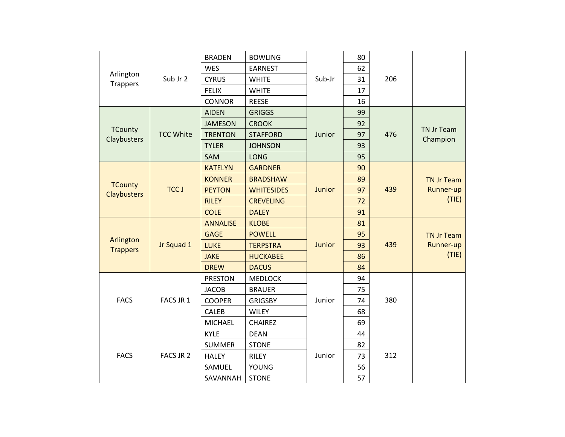|                                      |                  | <b>BRADEN</b>   | <b>BOWLING</b>    |        | 80 |     |                   |
|--------------------------------------|------------------|-----------------|-------------------|--------|----|-----|-------------------|
|                                      |                  | WES             | <b>EARNEST</b>    |        | 62 |     |                   |
| Arlington<br>Trappers                | Sub Jr 2         | <b>CYRUS</b>    | <b>WHITE</b>      | Sub-Jr | 31 | 206 |                   |
|                                      |                  | <b>FELIX</b>    | <b>WHITE</b>      |        | 17 |     |                   |
|                                      |                  | <b>CONNOR</b>   | <b>REESE</b>      |        | 16 |     |                   |
|                                      |                  | <b>AIDEN</b>    | <b>GRIGGS</b>     |        | 99 |     |                   |
|                                      |                  | <b>JAMESON</b>  | <b>CROOK</b>      |        | 92 |     | TN Jr Team        |
| <b>TCounty</b><br>Claybusters        | <b>TCC White</b> | <b>TRENTON</b>  | <b>STAFFORD</b>   | Junior | 97 | 476 | Champion          |
|                                      |                  | <b>TYLER</b>    | <b>JOHNSON</b>    |        | 93 |     |                   |
|                                      |                  | SAM             | <b>LONG</b>       |        | 95 |     |                   |
|                                      |                  | <b>KATELYN</b>  | <b>GARDNER</b>    |        | 90 |     |                   |
|                                      |                  | <b>KONNER</b>   | <b>BRADSHAW</b>   |        | 89 |     | <b>TN Jr Team</b> |
| <b>TCounty</b><br><b>Claybusters</b> | <b>TCC J</b>     | <b>PEYTON</b>   | <b>WHITESIDES</b> | Junior | 97 | 439 | Runner-up         |
|                                      |                  | <b>RILEY</b>    | <b>CREVELING</b>  |        | 72 |     | (TIE)             |
|                                      |                  | <b>COLE</b>     | <b>DALEY</b>      |        | 91 |     |                   |
|                                      | Jr Squad 1       | <b>ANNALISE</b> | <b>KLOBE</b>      | Junior | 81 | 439 |                   |
| Arlington                            |                  | <b>GAGE</b>     | <b>POWELL</b>     |        | 95 |     | <b>TN Jr Team</b> |
| <b>Trappers</b>                      |                  | <b>LUKE</b>     | <b>TERPSTRA</b>   |        | 93 |     | Runner-up         |
|                                      |                  | <b>JAKE</b>     | <b>HUCKABEE</b>   |        | 86 |     | (TIE)             |
|                                      |                  | <b>DREW</b>     | <b>DACUS</b>      |        | 84 |     |                   |
|                                      |                  | <b>PRESTON</b>  | <b>MEDLOCK</b>    |        | 94 |     |                   |
|                                      |                  | <b>JACOB</b>    | <b>BRAUER</b>     |        | 75 |     |                   |
| <b>FACS</b>                          | FACS JR 1        | <b>COOPER</b>   | <b>GRIGSBY</b>    | Junior | 74 | 380 |                   |
|                                      |                  | <b>CALEB</b>    | <b>WILEY</b>      |        | 68 |     |                   |
|                                      |                  | <b>MICHAEL</b>  | <b>CHAIREZ</b>    |        | 69 |     |                   |
|                                      |                  | <b>KYLE</b>     | <b>DEAN</b>       |        | 44 |     |                   |
|                                      |                  | <b>SUMMER</b>   | <b>STONE</b>      |        | 82 |     |                   |
| <b>FACS</b>                          | FACS JR 2        | <b>HALEY</b>    | <b>RILEY</b>      | Junior | 73 | 312 |                   |
|                                      |                  | SAMUEL          | <b>YOUNG</b>      |        | 56 |     |                   |
|                                      |                  | SAVANNAH        | <b>STONE</b>      |        | 57 |     |                   |